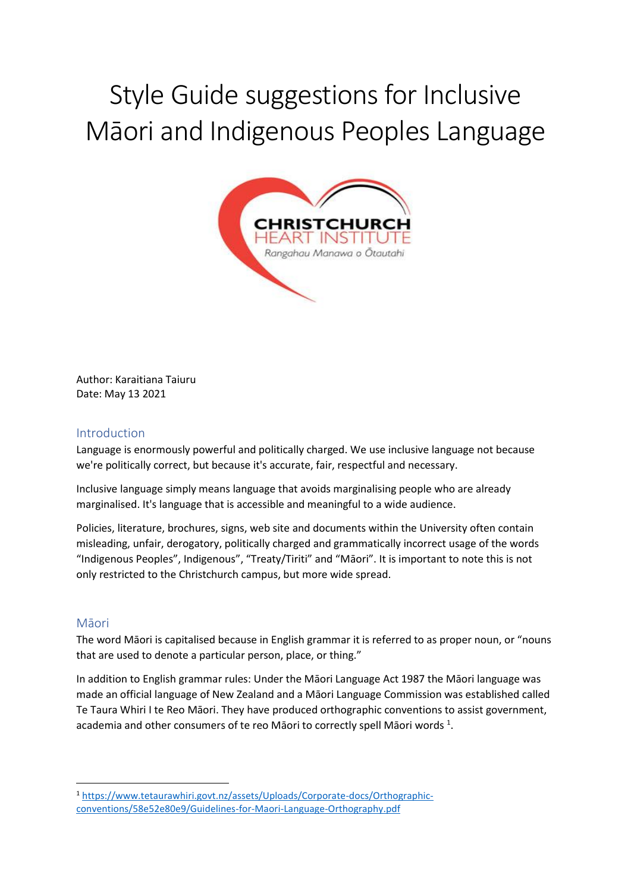# Style Guide suggestions for Inclusive Māori and Indigenous Peoples Language



Author: Karaitiana Taiuru Date: May 13 2021

### Introduction

Language is enormously powerful and politically charged. We use inclusive language not because we're politically correct, but because it's accurate, fair, respectful and necessary.

Inclusive language simply means language that avoids marginalising people who are already marginalised. It's language that is accessible and meaningful to a wide audience.

Policies, literature, brochures, signs, web site and documents within the University often contain misleading, unfair, derogatory, politically charged and grammatically incorrect usage of the words "Indigenous Peoples", Indigenous", "Treaty/Tiriti" and "Māori". It is important to note this is not only restricted to the Christchurch campus, but more wide spread.

### Māori

1

The word Māori is capitalised because in English grammar it is referred to as proper noun, or "nouns that are used to denote a particular person, place, or thing."

In addition to English grammar rules: Under the Māori Language Act 1987 the Māori language was made an official language of New Zealand and a Māori Language Commission was established called Te Taura Whiri I te Reo Māori. They have produced orthographic conventions to assist government, academia and other consumers of te reo Māori to correctly spell Māori words  $^1$ .

<sup>1</sup> [https://www.tetaurawhiri.govt.nz/assets/Uploads/Corporate-docs/Orthographic](https://www.tetaurawhiri.govt.nz/assets/Uploads/Corporate-docs/Orthographic-conventions/58e52e80e9/Guidelines-for-Maori-Language-Orthography.pdf)[conventions/58e52e80e9/Guidelines-for-Maori-Language-Orthography.pdf](https://www.tetaurawhiri.govt.nz/assets/Uploads/Corporate-docs/Orthographic-conventions/58e52e80e9/Guidelines-for-Maori-Language-Orthography.pdf)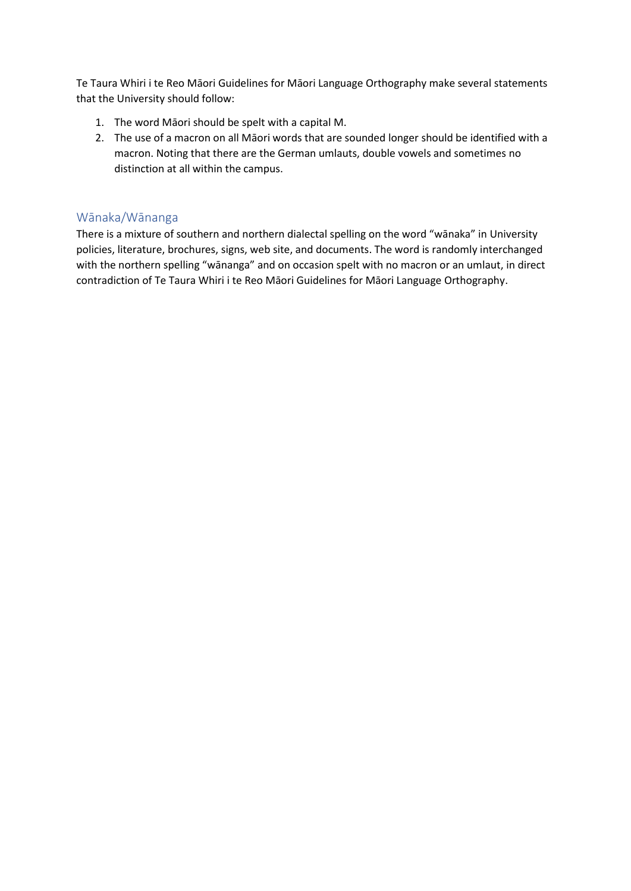Te Taura Whiri i te Reo Māori Guidelines for Māori Language Orthography make several statements that the University should follow:

- 1. The word Māori should be spelt with a capital M.
- 2. The use of a macron on all Māori words that are sounded longer should be identified with a macron. Noting that there are the German umlauts, double vowels and sometimes no distinction at all within the campus.

# Wānaka/Wānanga

There is a mixture of southern and northern dialectal spelling on the word "wānaka" in University policies, literature, brochures, signs, web site, and documents. The word is randomly interchanged with the northern spelling "wānanga" and on occasion spelt with no macron or an umlaut, in direct contradiction of Te Taura Whiri i te Reo Māori Guidelines for Māori Language Orthography.